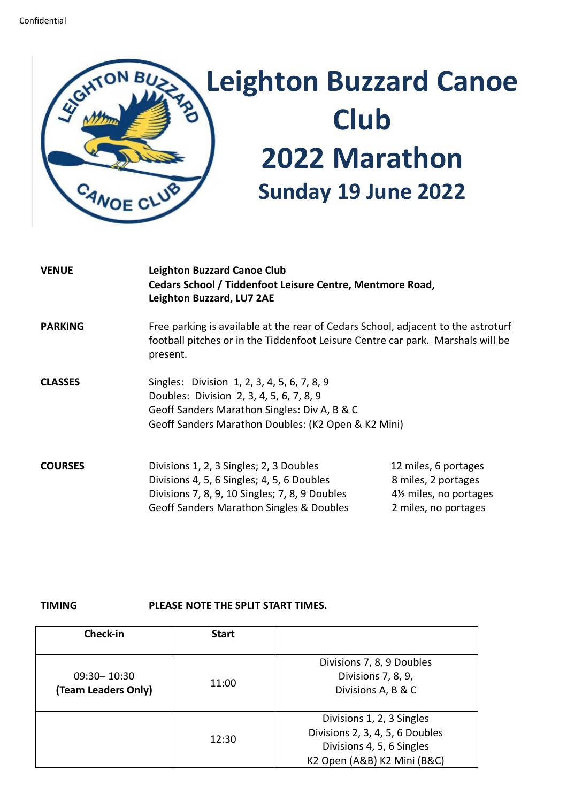

| <b>VENUE</b>   | <b>Leighton Buzzard Canoe Club</b><br>Cedars School / Tiddenfoot Leisure Centre, Mentmore Road,<br>Leighton Buzzard, LU7 2AE                                                                   |                                                                                                            |  |
|----------------|------------------------------------------------------------------------------------------------------------------------------------------------------------------------------------------------|------------------------------------------------------------------------------------------------------------|--|
| <b>PARKING</b> | Free parking is available at the rear of Cedars School, adjacent to the astroturf<br>football pitches or in the Tiddenfoot Leisure Centre car park. Marshals will be<br>present.               |                                                                                                            |  |
| <b>CLASSES</b> | Singles: Division 1, 2, 3, 4, 5, 6, 7, 8, 9<br>Doubles: Division 2, 3, 4, 5, 6, 7, 8, 9<br>Geoff Sanders Marathon Singles: Div A, B & C<br>Geoff Sanders Marathon Doubles: (K2 Open & K2 Mini) |                                                                                                            |  |
| <b>COURSES</b> | Divisions 1, 2, 3 Singles; 2, 3 Doubles<br>Divisions 4, 5, 6 Singles; 4, 5, 6 Doubles<br>Divisions 7, 8, 9, 10 Singles; 7, 8, 9 Doubles<br>Geoff Sanders Marathon Singles & Doubles            | 12 miles, 6 portages<br>8 miles, 2 portages<br>4 <sup>1/2</sup> miles, no portages<br>2 miles, no portages |  |

## **TIMING PLEASE NOTE THE SPLIT START TIMES.**

| Check-in                               | <b>Start</b> |                                                                                                                          |
|----------------------------------------|--------------|--------------------------------------------------------------------------------------------------------------------------|
| $09:30 - 10:30$<br>(Team Leaders Only) | 11:00        | Divisions 7, 8, 9 Doubles<br>Divisions 7, 8, 9,<br>Divisions A, B & C                                                    |
|                                        | 12:30        | Divisions 1, 2, 3 Singles<br>Divisions 2, 3, 4, 5, 6 Doubles<br>Divisions 4, 5, 6 Singles<br>K2 Open (A&B) K2 Mini (B&C) |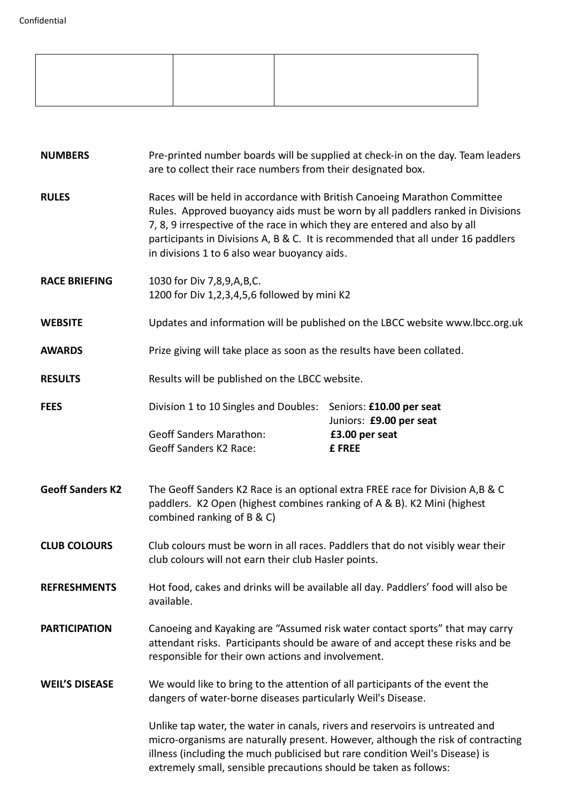| <b>NUMBERS</b>          | Pre-printed number boards will be supplied at check-in on the day. Team leaders<br>are to collect their race numbers from their designated box.                                                                                                                                                                                                                               |                                                                                  |  |
|-------------------------|-------------------------------------------------------------------------------------------------------------------------------------------------------------------------------------------------------------------------------------------------------------------------------------------------------------------------------------------------------------------------------|----------------------------------------------------------------------------------|--|
| <b>RULES</b>            | Races will be held in accordance with British Canoeing Marathon Committee<br>Rules. Approved buoyancy aids must be worn by all paddlers ranked in Divisions<br>7, 8, 9 irrespective of the race in which they are entered and also by all<br>participants in Divisions A, B & C. It is recommended that all under 16 paddlers<br>in divisions 1 to 6 also wear buoyancy aids. |                                                                                  |  |
| <b>RACE BRIEFING</b>    | 1030 for Div 7,8,9,A,B,C.<br>1200 for Div 1,2,3,4,5,6 followed by mini K2                                                                                                                                                                                                                                                                                                     |                                                                                  |  |
| <b>WEBSITE</b>          | Updates and information will be published on the LBCC website www.lbcc.org.uk                                                                                                                                                                                                                                                                                                 |                                                                                  |  |
| <b>AWARDS</b>           | Prize giving will take place as soon as the results have been collated.                                                                                                                                                                                                                                                                                                       |                                                                                  |  |
| <b>RESULTS</b>          | Results will be published on the LBCC website.                                                                                                                                                                                                                                                                                                                                |                                                                                  |  |
| <b>FEES</b>             | Division 1 to 10 Singles and Doubles:<br><b>Geoff Sanders Marathon:</b><br><b>Geoff Sanders K2 Race:</b>                                                                                                                                                                                                                                                                      | Seniors: £10.00 per seat<br>Juniors: £9.00 per seat<br>£3.00 per seat<br>£ FREE  |  |
| <b>Geoff Sanders K2</b> | The Geoff Sanders K2 Race is an optional extra FREE race for Division A,B & C<br>paddlers. K2 Open (highest combines ranking of A & B). K2 Mini (highest<br>combined ranking of B & C)                                                                                                                                                                                        |                                                                                  |  |
| <b>CLUB COLOURS</b>     | Club colours must be worn in all races. Paddlers that do not visibly wear their<br>club colours will not earn their club Hasler points.                                                                                                                                                                                                                                       |                                                                                  |  |
| <b>REFRESHMENTS</b>     | Hot food, cakes and drinks will be available all day. Paddlers' food will also be<br>available.                                                                                                                                                                                                                                                                               |                                                                                  |  |
| <b>PARTICIPATION</b>    | Canoeing and Kayaking are "Assumed risk water contact sports" that may carry<br>attendant risks. Participants should be aware of and accept these risks and be<br>responsible for their own actions and involvement.                                                                                                                                                          |                                                                                  |  |
| <b>WEIL'S DISEASE</b>   | We would like to bring to the attention of all participants of the event the<br>dangers of water-borne diseases particularly Weil's Disease.                                                                                                                                                                                                                                  |                                                                                  |  |
|                         | Unlike tap water, the water in canals, rivers and reservoirs is untreated and<br>illness (including the much publicised but rare condition Weil's Disease) is<br>extremely small, sensible precautions should be taken as follows:                                                                                                                                            | micro-organisms are naturally present. However, although the risk of contracting |  |